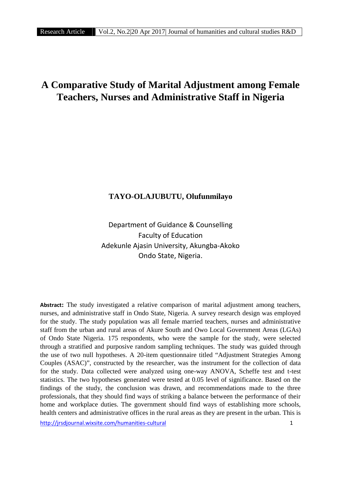# **A Comparative Study of Marital Adjustment among Female Teachers, Nurses and Administrative Staff in Nigeria**

## **TAYO-OLAJUBUTU, Olufunmilayo**

Department of Guidance & Counselling Faculty of Education Adekunle Ajasin University, Akungba-Akoko Ondo State, Nigeria.

**Abstract:** The study investigated a relative comparison of marital adjustment among teachers, nurses, and administrative staff in Ondo State, Nigeria. A survey research design was employed for the study. The study population was all female married teachers, nurses and administrative staff from the urban and rural areas of Akure South and Owo Local Government Areas (LGAs) of Ondo State Nigeria. 175 respondents, who were the sample for the study, were selected through a stratified and purposive random sampling techniques. The study was guided through the use of two null hypotheses. A 20-item questionnaire titled "Adjustment Strategies Among Couples (ASAC)", constructed by the researcher, was the instrument for the collection of data for the study. Data collected were analyzed using one-way ANOVA, Scheffe test and t-test statistics. The two hypotheses generated were tested at 0.05 level of significance. Based on the findings of the study, the conclusion was drawn, and recommendations made to the three professionals, that they should find ways of striking a balance between the performance of their home and workplace duties. The government should find ways of establishing more schools, health centers and administrative offices in the rural areas as they are present in the urban. This is

http://jrsdjournal.wixsite.com/humanities-cultural 1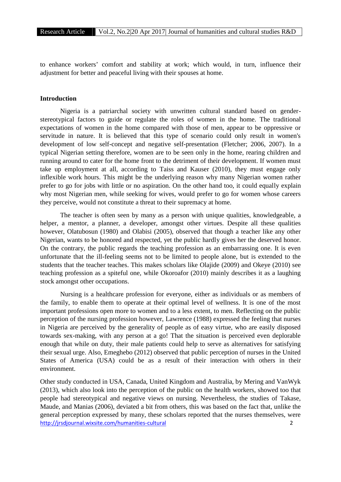to enhance workers' comfort and stability at work; which would, in turn, influence their adjustment for better and peaceful living with their spouses at home.

#### **Introduction**

Nigeria is a patriarchal society with unwritten cultural standard based on gender stereotypical factors to guide or regulate the roles of women in the home. The traditional expectations of women in the home compared with those of men, appear to be oppressive or servitude in nature. It is believed that this type of scenario could only result in women's development of low self-concept and negative self-presentation (Fletcher; 2006, 2007). In a typical Nigerian setting therefore, women are to be seen only in the home, rearing children and running around to cater for the home front to the detriment of their development. If women must take up employment at all, according to Taiss and Kauser (2010), they must engage only inflexible work hours. This might be the underlying reason why many Nigerian women rather prefer to go for jobs with little or no aspiration. On the other hand too, it could equally explain why most Nigerian men, while seeking for wives, would prefer to go for women whose careers they perceive, would not constitute a threat to their supremacy at home.

The teacher is often seen by many as a person with unique qualities, knowledgeable, a helper, a mentor, a planner, a developer, amongst other virtues. Despite all these qualities however, Olatubosun (1980) and Olabisi (2005), observed that though a teacher like any other Nigerian, wants to be honored and respected, yet the public hardly gives her the deserved honor. On the contrary, the public regards the teaching profession as an embarrassing one. It is even unfortunate that the ill-feeling seems not to be limited to people alone, but is extended to the students that the teacher teaches. This makes scholars like Olajide (2009) and Okeye (2010) see teaching profession as a spiteful one, while Okoroafor (2010) mainly describes it as a laughing stock amongst other occupations.

Nursing is a healthcare profession for everyone, either as individuals or as members of the family, to enable them to operate at their optimal level of wellness. It is one of the most important professions open more to women and to a less extent, to men. Reflecting on the public perception of the nursing profession however, Lawrence (1988) expressed the feeling that nurses in Nigeria are perceived by the generality of people as of easy virtue, who are easily disposed towards sex-making, with any person at a go! That the situation is perceived even deplorable enough that while on duty, their male patients could help to serve as alternatives for satisfying their sexual urge. Also, Emeghebo (2012) observed that public perception of nurses in the United States of America (USA) could be as a result of their interaction with others in their environment.

http://jrsdjournal.wixsite.com/humanities-cultural 2 Other study conducted in USA, Canada, United Kingdom and Australia, by Mering and VanWyk (2013), which also look into the perception of the public on the health workers, showed too that people had stereotypical and negative views on nursing. Nevertheless, the studies of Takase, Maude, and Manias (2006), deviated a bit from others, this was based on the fact that, unlike the general perception expressed by many, these scholars reported that the nurses themselves, were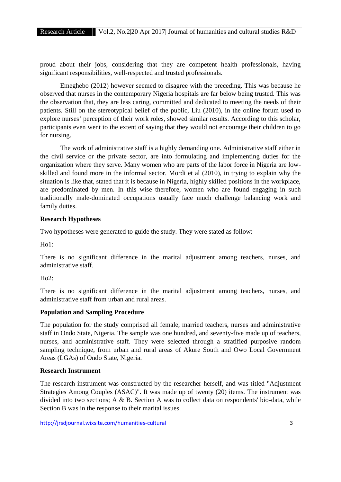proud about their jobs, considering that they are competent health professionals, having significant responsibilities, well-respected and trusted professionals.

Emeghebo (2012) however seemed to disagree with the preceding. This was because he observed that nurses in the contemporary Nigeria hospitals are far below being trusted. This was the observation that, they are less caring, committed and dedicated to meeting the needs of their patients. Still on the stereotypical belief of the public, Liu (2010), in the online forum used to explore nurses' perception of their work roles, showed similar results. According to this scholar, participants even went to the extent of saying that they would not encourage their children to go for nursing.

The work of administrative staff is a highly demanding one. Administrative staff either in the civil service or the private sector, are into formulating and implementing duties for the organization where they serve. Many women who are parts of the labor force in Nigeria are low skilled and found more in the informal sector. Mordi et al (2010), in trying to explain why the situation is like that, stated that it is because in Nigeria, highly skilled positions in the workplace, are predominated by men. In this wise therefore, women who are found engaging in such traditionally male-dominated occupations usually face much challenge balancing work and family duties.

## **Research Hypotheses**

Two hypotheses were generated to guide the study. They were stated as follow:

Ho1:

There is no significant difference in the marital adjustment among teachers, nurses, and administrative staff.

 $H_0$ <sup>2</sup>:

There is no significant difference in the marital adjustment among teachers, nurses, and administrative staff from urban and rural areas.

## **Population and Sampling Procedure**

The population for the study comprised all female, married teachers, nurses and administrative staff in Ondo State, Nigeria. The sample was one hundred, and seventy-five made up of teachers, nurses, and administrative staff. They were selected through a stratified purposive random sampling technique, from urban and rural areas of Akure South and Owo Local Government Areas (LGAs) of Ondo State, Nigeria.

### **Research Instrument**

The research instrument was constructed by the researcher herself, and was titled "Adjustment Strategies Among Couples (ASAC)". It was made up of twenty (20) items. The instrument was divided into two sections; A & B. Section A was to collect data on respondents' bio-data, while Section B was in the response to their marital issues.

http://jrsdjournal.wixsite.com/humanities-cultural 3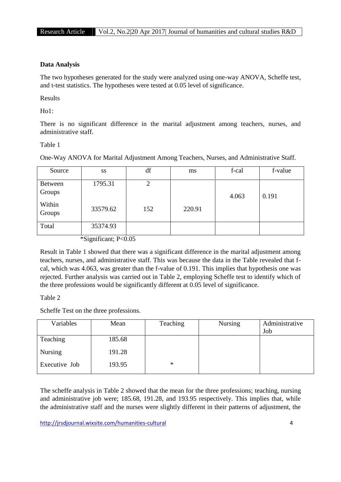## **Data Analysis**

The two hypotheses generated for the study were analyzed using one-way ANOVA, Scheffe test, and t-test statistics. The hypotheses were tested at 0.05 level of significance.

Results

Ho1:

There is no significant difference in the marital adjustment among teachers, nurses, and administrative staff.

#### Table 1

One-Way ANOVA for Marital Adjustment Among Teachers, Nurses, and Administrative Staff.

| Source            | SS       | df  | ms     | f-cal | f-value |
|-------------------|----------|-----|--------|-------|---------|
| Between<br>Groups | 1795.31  | 2   |        | 4.063 | 0.191   |
| Within<br>Groups  | 33579.62 | 152 | 220.91 |       |         |
| Total             | 35374.93 |     |        |       |         |

\*Significant; P<0.05

Result in Table 1 showed that there was a significant difference in the marital adjustment among teachers, nurses, and administrative staff. This was because the data in the Table revealed that f cal, which was 4.063, was greater than the f-value of 0.191. This implies that hypothesis one was rejected. Further analysis was carried out in Table 2, employing Scheffe test to identify which of the three professions would be significantly different at 0.05 level of significance.

## Table 2

Scheffe Test on the three professions.

| Variables      | Mean   | Teaching | <b>Nursing</b> | Administrative |
|----------------|--------|----------|----------------|----------------|
|                |        |          |                | Job            |
| Teaching       | 185.68 |          |                |                |
| <b>Nursing</b> | 191.28 |          |                |                |
| Executive Job  | 193.95 | $\ast$   |                |                |

The scheffe analysis in Table 2 showed that the mean for the three professions; teaching, nursing and administrative job were; 185.68, 191.28, and 193.95 respectively. This implies that, while the administrative staff and the nurses were slightly different in their patterns of adjustment, the

http://jrsdjournal.wixsite.com/humanities-cultural 4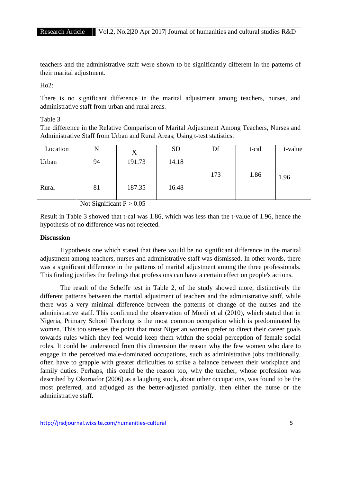teachers and the administrative staff were shown to be significantly different in the patterns of their marital adjustment.

 $Ho2:$ 

There is no significant difference in the marital adjustment among teachers, nurses, and administrative staff from urban and rural areas.

#### Table 3

The difference in the Relative Comparison of Marital Adjustment Among Teachers, Nurses and Administrative Staff from Urban and Rural Areas; Using t-test statistics.

| Location | N  | v<br>Δ | <b>SD</b> | Df  | t-cal | t-value |
|----------|----|--------|-----------|-----|-------|---------|
| Urban    | 94 | 191.73 | 14.18     | 173 | 1.86  | 1.96    |
| Rural    | 81 | 187.35 | 16.48     |     |       |         |

Not Significant  $P > 0.05$ 

Result in Table 3 showed that t-cal was 1.86, which was less than the t-value of 1.96, hence the hypothesis of no difference was not rejected.

#### **Discussion**

Hypothesis one which stated that there would be no significant difference in the marital adjustment among teachers, nurses and administrative staff was dismissed. In other words, there was a significant difference in the patterns of marital adjustment among the three professionals. This finding justifies the feelings that professions can have a certain effect on people's actions.

The result of the Scheffe test in Table 2, of the study showed more, distinctively the different patterns between the marital adjustment of teachers and the administrative staff, while there was a very minimal difference between the patterns of change of the nurses and the administrative staff. This confirmed the observation of Mordi et al (2010), which stated that in Nigeria, Primary School Teaching is the most common occupation which is predominated by women. This too stresses the point that most Nigerian women prefer to direct their career goals towards rules which they feel would keep them within the social perception of female social roles. It could be understood from this dimension the reason why the few women who dare to engage in the perceived male-dominated occupations, such as administrative jobs traditionally, often have to grapple with greater difficulties to strike a balance between their workplace and family duties. Perhaps, this could be the reason too, why the teacher, whose profession was described by Okoroafor (2006) as a laughing stock, about other occupations, was found to be the most preferred, and adjudged as the better-adjusted partially, then either the nurse or the administrative staff.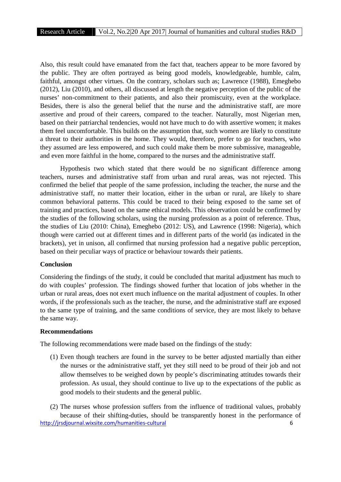Also, this result could have emanated from the fact that, teachers appear to be more favored by the public. They are often portrayed as being good models, knowledgeable, humble, calm, faithful, amongst other virtues. On the contrary, scholars such as; Lawrence (1988), Emeghebo (2012), Liu (2010), and others, all discussed at length the negative perception of the public of the nurses' non-commitment to their patients, and also their promiscuity, even at the workplace. Besides, there is also the general belief that the nurse and the administrative staff, are more assertive and proud of their careers, compared to the teacher. Naturally, most Nigerian men, based on their patriarchal tendencies, would not have much to do with assertive women; it makes them feel uncomfortable. This builds on the assumption that, such women are likely to constitute a threat to their authorities in the home. They would, therefore, prefer to go for teachers, who they assumed are less empowered, and such could make them be more submissive, manageable, and even more faithful in the home, compared to the nurses and the administrative staff.

Hypothesis two which stated that there would be no significant difference among teachers, nurses and administrative staff from urban and rural areas, was not rejected. This confirmed the belief that people of the same profession, including the teacher, the nurse and the administrative staff, no matter their location, either in the urban or rural, are likely to share common behavioral patterns. This could be traced to their being exposed to the same set of training and practices, based on the same ethical models. This observation could be confirmed by the studies of the following scholars, using the nursing profession as a point of reference. Thus, the studies of Liu (2010: China), Emeghebo (2012: US), and Lawrence (1998: Nigeria), which though were carried out at different times and in different parts of the world (as indicated in the brackets), yet in unison, all confirmed that nursing profession had a negative public perception, based on their peculiar ways of practice or behaviour towards their patients.

#### **Conclusion**

Considering the findings of the study, it could be concluded that marital adjustment has much to do with couples' profession. The findings showed further that location of jobs whether in the urban or rural areas, does not exert much influence on the marital adjustment of couples. In other words, if the professionals such as the teacher, the nurse, and the administrative staff are exposed to the same type of training, and the same conditions of service, they are most likely to behave the same way.

### **Recommendations**

The following recommendations were made based on the findings of the study:

(1) Even though teachers are found in the survey to be better adjusted martially than either the nurses or the administrative staff, yet they still need to be proud of their job and not allow themselves to be weighed down by people's discriminating attitudes towards their profession. As usual, they should continue to live up to the expectations of the public as good models to their students and the general public.

http://jrsdjournal.wixsite.com/humanities-cultural 6 (2) The nurses whose profession suffers from the influence of traditional values, probably because of their shifting-duties, should be transparently honest in the performance of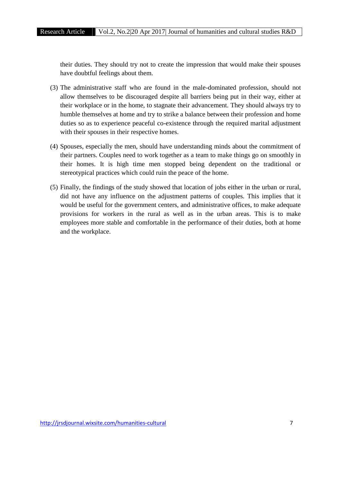their duties. They should try not to create the impression that would make their spouses have doubtful feelings about them.

- (3) The administrative staff who are found in the male-dominated profession, should not allow themselves to be discouraged despite all barriers being put in their way, either at their workplace or in the home, to stagnate their advancement. They should always try to humble themselves at home and try to strike a balance between their profession and home duties so as to experience peaceful co-existence through the required marital adjustment with their spouses in their respective homes.
- (4) Spouses, especially the men, should have understanding minds about the commitment of their partners. Couples need to work together as a team to make things go on smoothly in their homes. It is high time men stopped being dependent on the traditional or stereotypical practices which could ruin the peace of the home.
- (5) Finally, the findings of the study showed that location of jobs either in the urban or rural, did not have any influence on the adjustment patterns of couples. This implies that it would be useful for the government centers, and administrative offices, to make adequate provisions for workers in the rural as well as in the urban areas. This is to make employees more stable and comfortable in the performance of their duties, both at home and the workplace.